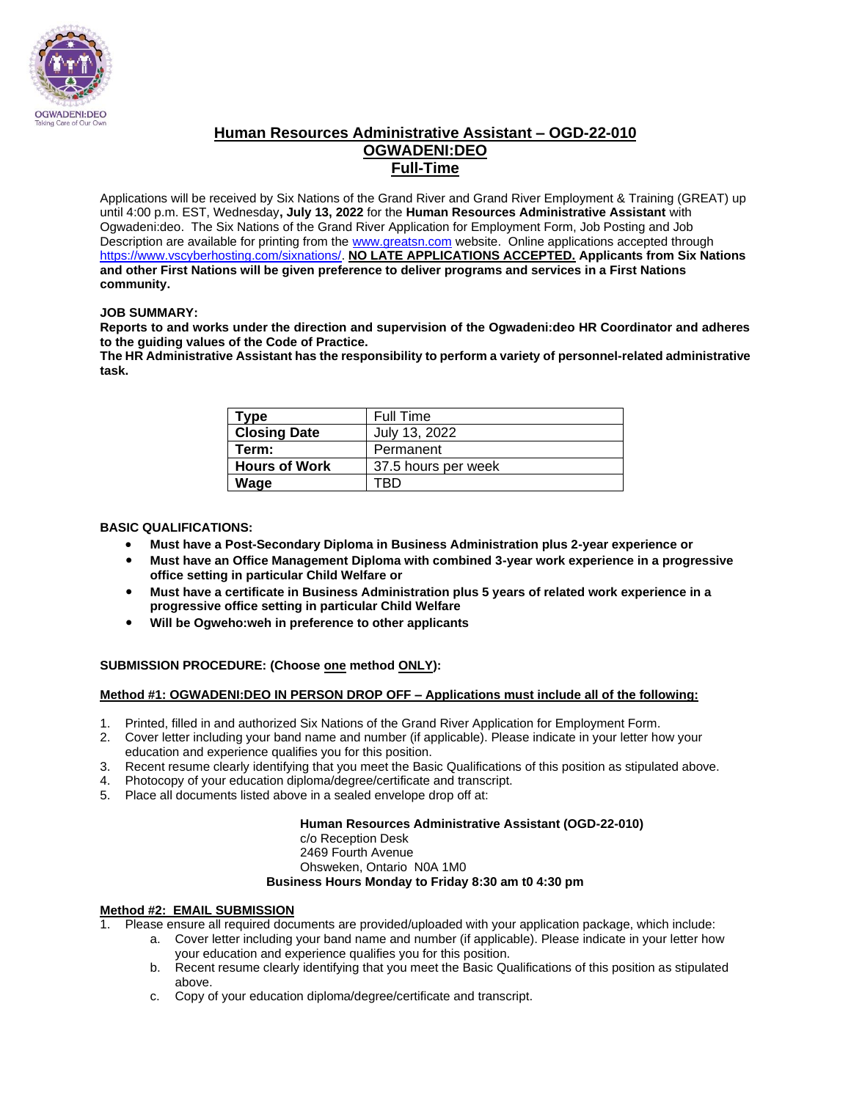

#### **Human Resources Administrative Assistant – OGD-22-010 OGWADENI:DEO Full-Time**

Applications will be received by Six Nations of the Grand River and Grand River Employment & Training (GREAT) up until 4:00 p.m. EST, Wednesday**, July 13, 2022** for the **Human Resources Administrative Assistant** with Ogwadeni:deo. The Six Nations of the Grand River Application for Employment Form, Job Posting and Job Description are available for printing from the [www.greatsn.com](http://www.greatsn.com/) website. Online applications accepted through [https://www.vscyberhosting.com/sixnations/.](https://www.vscyberhosting.com/sixnations/) **NO LATE APPLICATIONS ACCEPTED. Applicants from Six Nations and other First Nations will be given preference to deliver programs and services in a First Nations community.**

#### **JOB SUMMARY:**

**Reports to and works under the direction and supervision of the Ogwadeni:deo HR Coordinator and adheres to the guiding values of the Code of Practice.**

**The HR Administrative Assistant has the responsibility to perform a variety of personnel-related administrative task.**

| Type                 | Full Time           |
|----------------------|---------------------|
| <b>Closing Date</b>  | July 13, 2022       |
| Term:                | Permanent           |
| <b>Hours of Work</b> | 37.5 hours per week |
| Wage                 | rrn                 |

#### **BASIC QUALIFICATIONS:**

- **Must have a Post-Secondary Diploma in Business Administration plus 2-year experience or**
- **Must have an Office Management Diploma with combined 3-year work experience in a progressive office setting in particular Child Welfare or**
- **Must have a certificate in Business Administration plus 5 years of related work experience in a progressive office setting in particular Child Welfare**
- **Will be Ogweho:weh in preference to other applicants**

#### **SUBMISSION PROCEDURE: (Choose one method ONLY):**

#### **Method #1: OGWADENI:DEO IN PERSON DROP OFF – Applications must include all of the following:**

- 1. Printed, filled in and authorized Six Nations of the Grand River Application for Employment Form.
- 2. Cover letter including your band name and number (if applicable). Please indicate in your letter how your education and experience qualifies you for this position.
- 3. Recent resume clearly identifying that you meet the Basic Qualifications of this position as stipulated above.
- 4. Photocopy of your education diploma/degree/certificate and transcript.
- 5. Place all documents listed above in a sealed envelope drop off at:

#### **Human Resources Administrative Assistant (OGD-22-010)**

c/o Reception Desk 2469 Fourth Avenue Ohsweken, Ontario N0A 1M0 **Business Hours Monday to Friday 8:30 am t0 4:30 pm**

#### **Method #2: EMAIL SUBMISSION**

1. Please ensure all required documents are provided/uploaded with your application package, which include:

- a. Cover letter including your band name and number (if applicable). Please indicate in your letter how your education and experience qualifies you for this position.
- b. Recent resume clearly identifying that you meet the Basic Qualifications of this position as stipulated above.
- c. Copy of your education diploma/degree/certificate and transcript.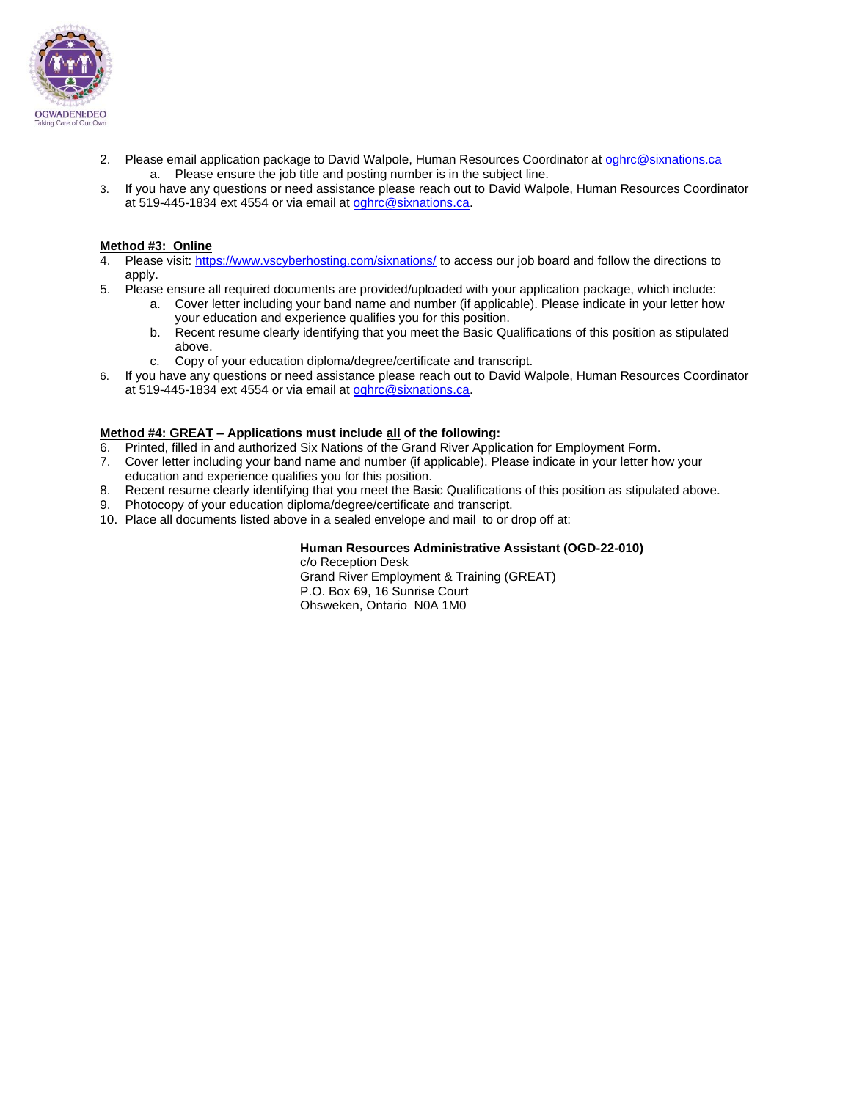

- 2. Please email application package to David Walpole, Human Resources Coordinator a[t oghrc@sixnations.ca](mailto:oghrc@sixnations.ca) a. Please ensure the job title and posting number is in the subject line.
- 3. If you have any questions or need assistance please reach out to David Walpole, Human Resources Coordinator at 519-445-1834 ext 4554 or via email at [oghrc@sixnations.ca.](mailto:oghrc@sixnations.ca)

#### **Method #3: Online**

- 4. Please visit[: https://www.vscyberhosting.com/sixnations/](https://www.vscyberhosting.com/sixnations/) to access our job board and follow the directions to apply.
- 5. Please ensure all required documents are provided/uploaded with your application package, which include:
	- a. Cover letter including your band name and number (if applicable). Please indicate in your letter how your education and experience qualifies you for this position.
	- b. Recent resume clearly identifying that you meet the Basic Qualifications of this position as stipulated above.
	- c. Copy of your education diploma/degree/certificate and transcript.
- 6. If you have any questions or need assistance please reach out to David Walpole, Human Resources Coordinator at 519-445-1834 ext 4554 or via email at [oghrc@sixnations.ca.](mailto:oghrc@sixnations.ca)

#### **Method #4: GREAT – Applications must include all of the following:**

- 6. Printed, filled in and authorized Six Nations of the Grand River Application for Employment Form.
- 7. Cover letter including your band name and number (if applicable). Please indicate in your letter how your education and experience qualifies you for this position.
- 8. Recent resume clearly identifying that you meet the Basic Qualifications of this position as stipulated above.
- 9. Photocopy of your education diploma/degree/certificate and transcript.
- 10. Place all documents listed above in a sealed envelope and mail to or drop off at:

#### **Human Resources Administrative Assistant (OGD-22-010)** c/o Reception Desk

Grand River Employment & Training (GREAT) P.O. Box 69, 16 Sunrise Court Ohsweken, Ontario N0A 1M0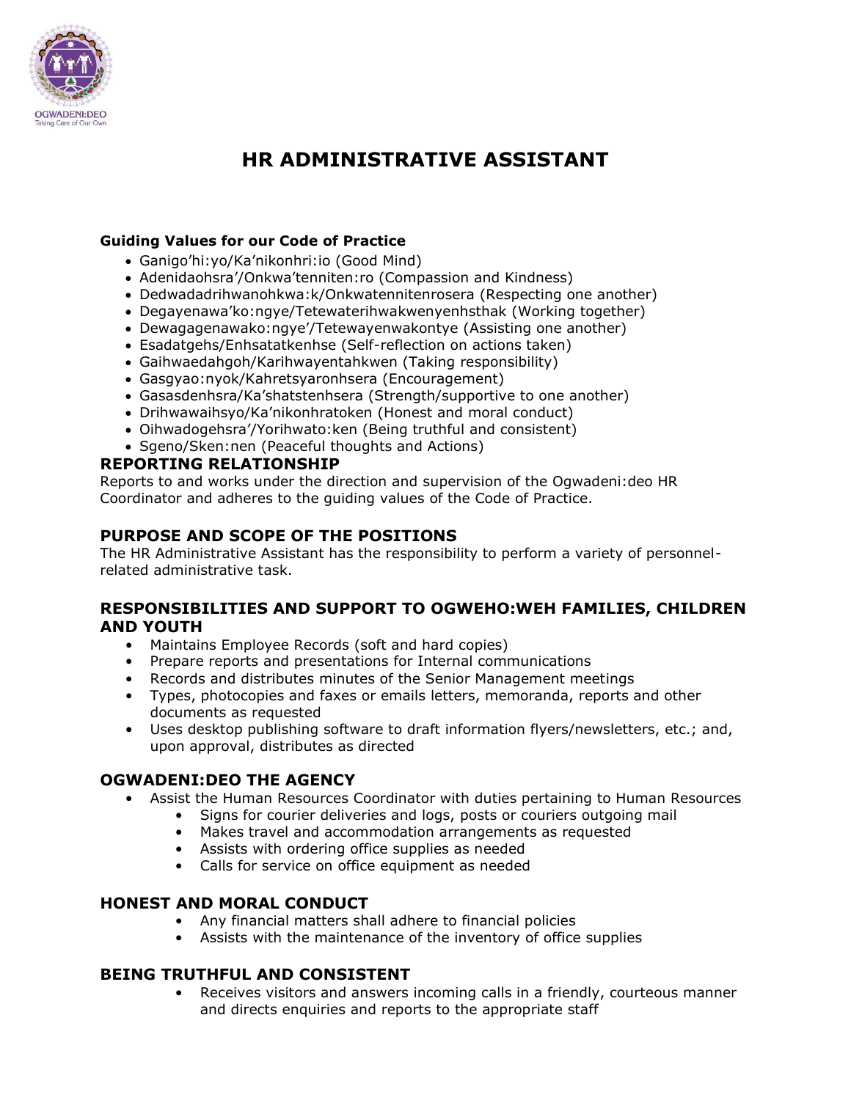

# **HR ADMINISTRATIVE ASSISTANT**

#### **Guiding Values for our Code of Practice**

- Ganigo'hi:yo/Ka'nikonhri:io (Good Mind)
- Adenidaohsra'/Onkwa'tenniten:ro (Compassion and Kindness)
- Dedwadadrihwanohkwa:k/Onkwatennitenrosera (Respecting one another)
- Degayenawa'ko:ngye/Tetewaterihwakwenyenhsthak (Working together)
- Dewagagenawako:ngye'/Tetewayenwakontye (Assisting one another)
- Esadatgehs/Enhsatatkenhse (Self-reflection on actions taken)
- Gaihwaedahgoh/Karihwayentahkwen (Taking responsibility)
- Gasgyao:nyok/Kahretsyaronhsera (Encouragement)
- Gasasdenhsra/Ka'shatstenhsera (Strength/supportive to one another)
- Drihwawaihsyo/Ka'nikonhratoken (Honest and moral conduct)
- Oihwadogehsra'/Yorihwato:ken (Being truthful and consistent)
- Sgeno/Sken:nen (Peaceful thoughts and Actions)

### **REPORTING RELATIONSHIP**

Reports to and works under the direction and supervision of the Ogwadeni:deo HR Coordinator and adheres to the guiding values of the Code of Practice.

# **PURPOSE AND SCOPE OF THE POSITIONS**

The HR Administrative Assistant has the responsibility to perform a variety of personnelrelated administrative task.

#### **RESPONSIBILITIES AND SUPPORT TO OGWEHO:WEH FAMILIES, CHILDREN AND YOUTH**

- Maintains Employee Records (soft and hard copies)
- Prepare reports and presentations for Internal communications
- Records and distributes minutes of the Senior Management meetings
- Types, photocopies and faxes or emails letters, memoranda, reports and other documents as requested
- Uses desktop publishing software to draft information flyers/newsletters, etc.; and, upon approval, distributes as directed

#### **OGWADENI:DEO THE AGENCY**

- Assist the Human Resources Coordinator with duties pertaining to Human Resources
	- Signs for courier deliveries and logs, posts or couriers outgoing mail
		- Makes travel and accommodation arrangements as requested
		- Assists with ordering office supplies as needed
		- Calls for service on office equipment as needed

# **HONEST AND MORAL CONDUCT**

- Any financial matters shall adhere to financial policies
- Assists with the maintenance of the inventory of office supplies

# **BEING TRUTHFUL AND CONSISTENT**

Receives visitors and answers incoming calls in a friendly, courteous manner and directs enquiries and reports to the appropriate staff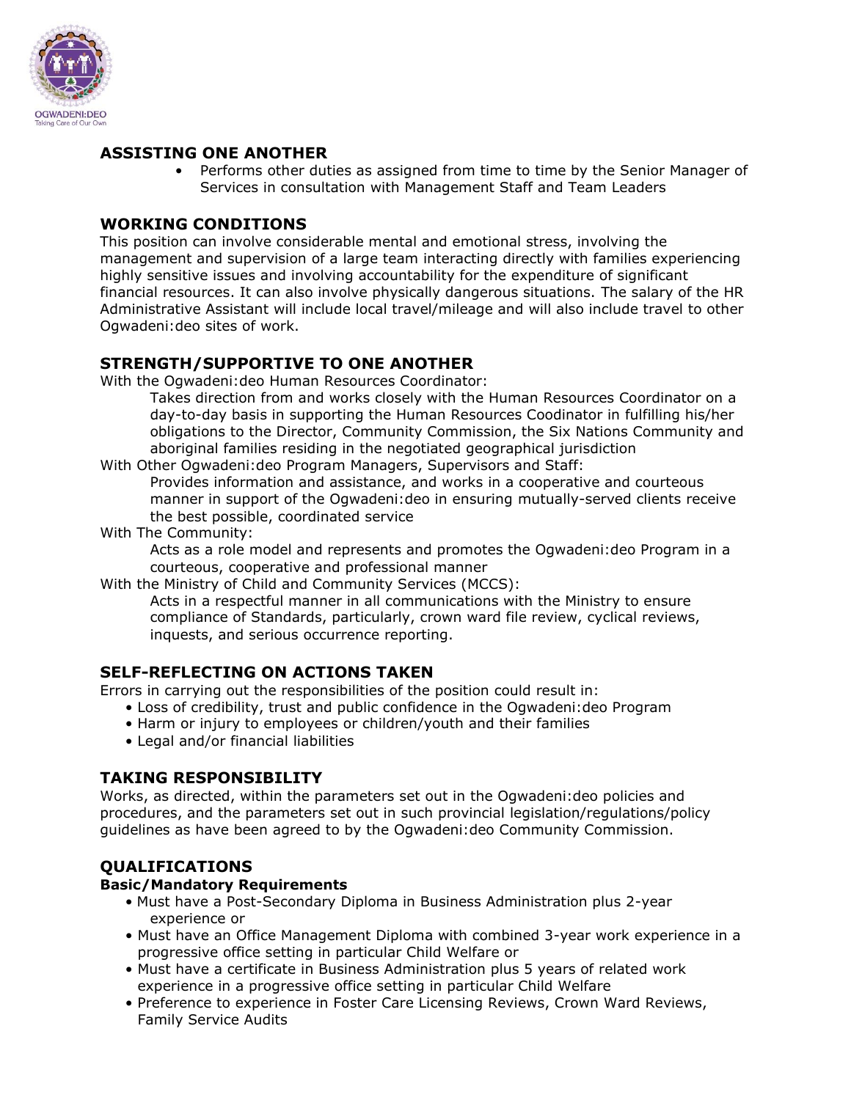

# **ASSISTING ONE ANOTHER**

• Performs other duties as assigned from time to time by the Senior Manager of Services in consultation with Management Staff and Team Leaders

### **WORKING CONDITIONS**

This position can involve considerable mental and emotional stress, involving the management and supervision of a large team interacting directly with families experiencing highly sensitive issues and involving accountability for the expenditure of significant financial resources. It can also involve physically dangerous situations. The salary of the HR Administrative Assistant will include local travel/mileage and will also include travel to other Ogwadeni:deo sites of work.

# **STRENGTH/SUPPORTIVE TO ONE ANOTHER**

With the Ogwadeni:deo Human Resources Coordinator:

Takes direction from and works closely with the Human Resources Coordinator on a day-to-day basis in supporting the Human Resources Coodinator in fulfilling his/her obligations to the Director, Community Commission, the Six Nations Community and aboriginal families residing in the negotiated geographical jurisdiction

With Other Ogwadeni:deo Program Managers, Supervisors and Staff:

Provides information and assistance, and works in a cooperative and courteous manner in support of the Ogwadeni:deo in ensuring mutually-served clients receive the best possible, coordinated service

With The Community:

Acts as a role model and represents and promotes the Ogwadeni:deo Program in a courteous, cooperative and professional manner

With the Ministry of Child and Community Services (MCCS):

Acts in a respectful manner in all communications with the Ministry to ensure compliance of Standards, particularly, crown ward file review, cyclical reviews, inquests, and serious occurrence reporting.

# **SELF-REFLECTING ON ACTIONS TAKEN**

Errors in carrying out the responsibilities of the position could result in:

- Loss of credibility, trust and public confidence in the Ogwadeni:deo Program
- Harm or injury to employees or children/youth and their families
- Legal and/or financial liabilities

# **TAKING RESPONSIBILITY**

Works, as directed, within the parameters set out in the Ogwadeni:deo policies and procedures, and the parameters set out in such provincial legislation/regulations/policy guidelines as have been agreed to by the Ogwadeni:deo Community Commission.

# **QUALIFICATIONS**

#### **Basic/Mandatory Requirements**

- Must have a Post-Secondary Diploma in Business Administration plus 2-year experience or
- Must have an Office Management Diploma with combined 3-year work experience in a progressive office setting in particular Child Welfare or
- Must have a certificate in Business Administration plus 5 years of related work experience in a progressive office setting in particular Child Welfare
- Preference to experience in Foster Care Licensing Reviews, Crown Ward Reviews, Family Service Audits